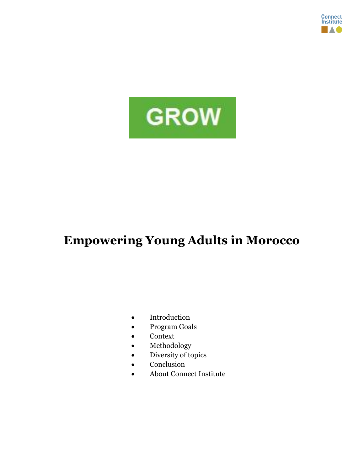



# **Empowering Young Adults in Morocco**

- Introduction
- Program Goals
- Context
- Methodology
- Diversity of topics
- Conclusion
- About Connect Institute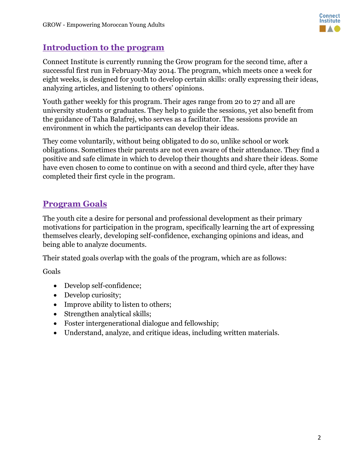

#### **Introduction to the program**

Connect Institute is currently running the Grow program for the second time, after a successful first run in February-May 2014. The program, which meets once a week for eight weeks, is designed for youth to develop certain skills: orally expressing their ideas, analyzing articles, and listening to others' opinions.

Youth gather weekly for this program. Their ages range from 20 to 27 and all are university students or graduates. They help to guide the sessions, yet also benefit from the guidance of Taha Balafrej, who serves as a facilitator. The sessions provide an environment in which the participants can develop their ideas.

They come voluntarily, without being obligated to do so, unlike school or work obligations. Sometimes their parents are not even aware of their attendance. They find a positive and safe climate in which to develop their thoughts and share their ideas. Some have even chosen to come to continue on with a second and third cycle, after they have completed their first cycle in the program.

## **Program Goals**

The youth cite a desire for personal and professional development as their primary motivations for participation in the program, specifically learning the art of expressing themselves clearly, developing self-confidence, exchanging opinions and ideas, and being able to analyze documents.

Their stated goals overlap with the goals of the program, which are as follows:

Goals

- Develop self-confidence;
- Develop curiosity;
- Improve ability to listen to others;
- Strengthen analytical skills;
- Foster intergenerational dialogue and fellowship;
- Understand, analyze, and critique ideas, including written materials.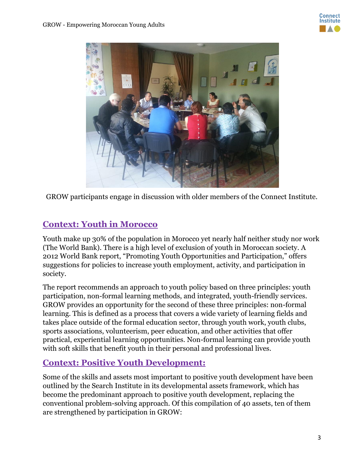



GROW participants engage in discussion with older members of the Connect Institute.

## **Context: Youth in Morocco**

Youth make up 30% of the population in Morocco yet nearly half neither study nor work (The World Bank). There is a high level of exclusion of youth in Moroccan society. A 2012 World Bank report, "Promoting Youth Opportunities and Participation," offers suggestions for policies to increase youth employment, activity, and participation in society.

The report recommends an approach to youth policy based on three principles: youth participation, non-formal learning methods, and integrated, youth-friendly services. GROW provides an opportunity for the second of these three principles: non-formal learning. This is defined as a process that covers a wide variety of learning fields and takes place outside of the formal education sector, through youth work, youth clubs, sports associations, volunteerism, peer education, and other activities that offer practical, experiential learning opportunities. Non-formal learning can provide youth with soft skills that benefit youth in their personal and professional lives.

#### **Context: Positive Youth Development:**

Some of the skills and assets most important to positive youth development have been outlined by the Search Institute in its developmental assets framework, which has become the predominant approach to positive youth development, replacing the conventional problem-solving approach. Of this compilation of 40 assets, ten of them are strengthened by participation in GROW: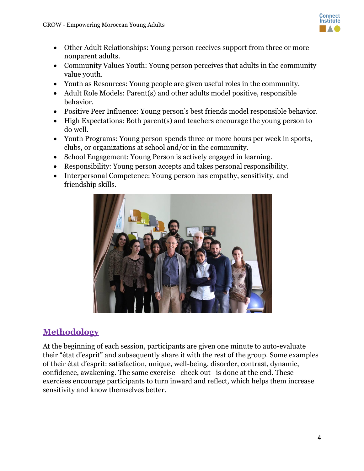

- Other Adult Relationships: Young person receives support from three or more nonparent adults.
- Community Values Youth: Young person perceives that adults in the community value youth.
- Youth as Resources: Young people are given useful roles in the community.
- Adult Role Models: Parent(s) and other adults model positive, responsible behavior.
- Positive Peer Influence: Young person's best friends model responsible behavior.
- High Expectations: Both parent(s) and teachers encourage the young person to do well.
- Youth Programs: Young person spends three or more hours per week in sports, clubs, or organizations at school and/or in the community.
- School Engagement: Young Person is actively engaged in learning.
- Responsibility: Young person accepts and takes personal responsibility.
- Interpersonal Competence: Young person has empathy, sensitivity, and friendship skills.



## **Methodology**

At the beginning of each session, participants are given one minute to auto-evaluate their "état d'esprit" and subsequently share it with the rest of the group. Some examples of their état d'esprit: satisfaction, unique, well-being, disorder, contrast, dynamic, confidence, awakening. The same exercise--check out--is done at the end. These exercises encourage participants to turn inward and reflect, which helps them increase sensitivity and know themselves better.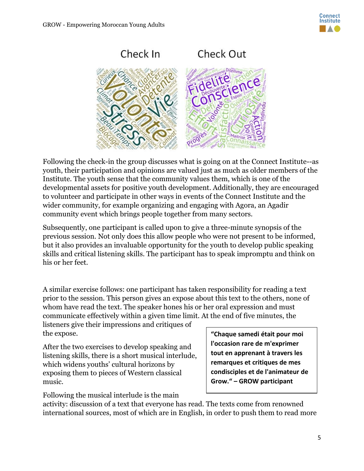



Following the check-in the group discusses what is going on at the Connect Institute--as youth, their participation and opinions are valued just as much as older members of the Institute. The youth sense that the community values them, which is one of the developmental assets for positive youth development. Additionally, they are encouraged to volunteer and participate in other ways in events of the Connect Institute and the wider community, for example organizing and engaging with Agora, an Agadir community event which brings people together from many sectors.

Subsequently, one participant is called upon to give a three-minute synopsis of the previous session. Not only does this allow people who were not present to be informed, but it also provides an invaluable opportunity for the youth to develop public speaking skills and critical listening skills. The participant has to speak impromptu and think on his or her feet.

A similar exercise follows: one participant has taken responsibility for reading a text prior to the session. This person gives an expose about this text to the others, none of whom have read the text. The speaker hones his or her oral expression and must communicate effectively within a given time limit. At the end of five minutes, the

listeners give their impressions and critiques of the expose.

After the two exercises to develop speaking and listening skills, there is a short musical interlude, which widens youths' cultural horizons by exposing them to pieces of Western classical music.

**l'occasion rare de m'exprimer tout en apprenant à travers les remarques et critiques de mes condisciples et de l'animateur de Grow." – GROW participant**

**"Chaque samedi était pour moi** 

Following the musical interlude is the main

activity: discussion of a text that everyone has read. The texts come from renowned international sources, most of which are in English, in order to push them to read more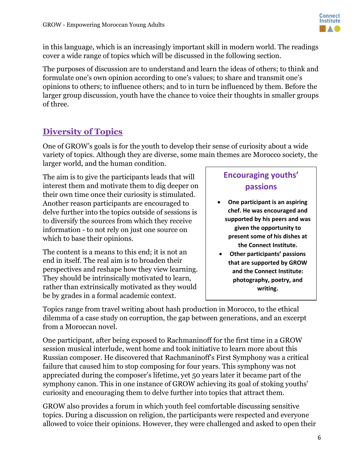

in this language, which is an increasingly important skill in modern world. The readings cover a wide range of topics which will be discussed in the following section.

The purposes of discussion are to understand and learn the ideas of others; to think and formulate one's own opinion according to one's values; to share and transmit one's opinions to others; to influence others; and to in turn be influenced by them. Before the larger group discussion, youth have the chance to voice their thoughts in smaller groups of three.

# **Diversity of Topics**

One of GROW's goals is for the youth to develop their sense of curiosity about a wide variety of topics. Although they are diverse, some main themes are Morocco society, the larger world, and the human condition.

The aim is to give the participants leads that will interest them and motivate them to dig deeper on their own time once their curiosity is stimulated. Another reason participants are encouraged to delve further into the topics outside of sessions is to diversify the sources from which they receive information - to not rely on just one source on which to base their opinions.

The content is a means to this end; it is not an end in itself. The real aim is to broaden their perspectives and reshape how they view learning. They should be intrinsically motivated to learn, rather than extrinsically motivated as they would be by grades in a formal academic context.

## **Encouraging youths' passions**

- **One participant is an aspiring chef. He was encouraged and supported by his peers and was given the opportunity to present some of his dishes at the Connect Institute.**
- **Other participants' passions that are supported by GROW and the Connect Institute: photography, poetry, and writing.**

Topics range from travel writing about hash production in Morocco, to the ethical dilemma of a case study on corruption, the gap between generations, and an excerpt from a Moroccan novel.

One participant, after being exposed to Rachmaninoff for the first time in a GROW session musical interlude, went home and took initiative to learn more about this Russian composer. He discovered that Rachmaninoff's First Symphony was a critical failure that caused him to stop composing for four years. This symphony was not appreciated during the composer's lifetime, yet 50 years later it became part of the symphony canon. This in one instance of GROW achieving its goal of stoking youths' curiosity and encouraging them to delve further into topics that attract them.

GROW also provides a forum in which youth feel comfortable discussing sensitive topics. During a discussion on religion, the participants were respected and everyone allowed to voice their opinions. However, they were challenged and asked to open their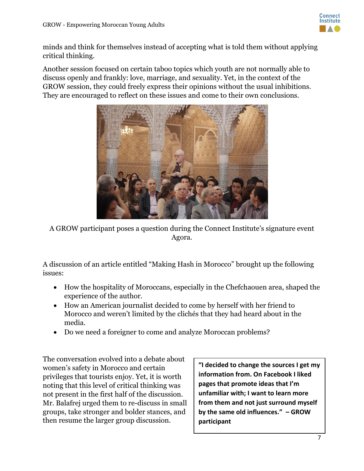

minds and think for themselves instead of accepting what is told them without applying critical thinking.

Another session focused on certain taboo topics which youth are not normally able to discuss openly and frankly: love, marriage, and sexuality. Yet, in the context of the GROW session, they could freely express their opinions without the usual inhibitions. They are encouraged to reflect on these issues and come to their own conclusions.



A GROW participant poses a question during the Connect Institute's signature event Agora.

A discussion of an article entitled "Making Hash in Morocco" brought up the following issues:

- How the hospitality of Moroccans, especially in the Chefchaouen area, shaped the experience of the author.
- How an American journalist decided to come by herself with her friend to Morocco and weren't limited by the clichés that they had heard about in the media.
- Do we need a foreigner to come and analyze Moroccan problems?

The conversation evolved into a debate about women's safety in Morocco and certain privileges that tourists enjoy. Yet, it is worth noting that this level of critical thinking was not present in the first half of the discussion. Mr. Balafrej urged them to re-discuss in small groups, take stronger and bolder stances, and then resume the larger group discussion.

**"I decided to change the sources I get my information from. On Facebook I liked pages that promote ideas that I'm unfamiliar with; I want to learn more from them and not just surround myself by the same old influences." – GROW participant**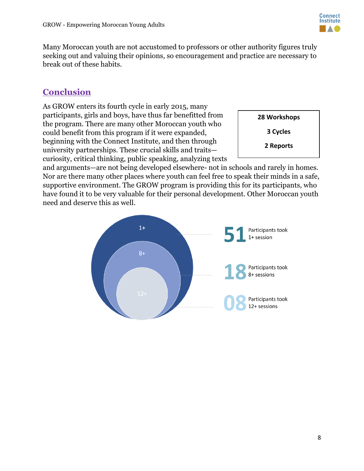

Many Moroccan youth are not accustomed to professors or other authority figures truly seeking out and valuing their opinions, so encouragement and practice are necessary to break out of these habits.

#### **Conclusion**

As GROW enters its fourth cycle in early 2015, many participants, girls and boys, have thus far benefitted from the program. There are many other Moroccan youth who could benefit from this program if it were expanded, beginning with the Connect Institute, and then through university partnerships. These crucial skills and traits curiosity, critical thinking, public speaking, analyzing texts

**28 Workshops**

**3 Cycles**

**2 Reports**

and arguments—are not being developed elsewhere- not in schools and rarely in homes. Nor are there many other places where youth can feel free to speak their minds in a safe, supportive environment. The GROW program is providing this for its participants, who have found it to be very valuable for their personal development. Other Moroccan youth need and deserve this as well.